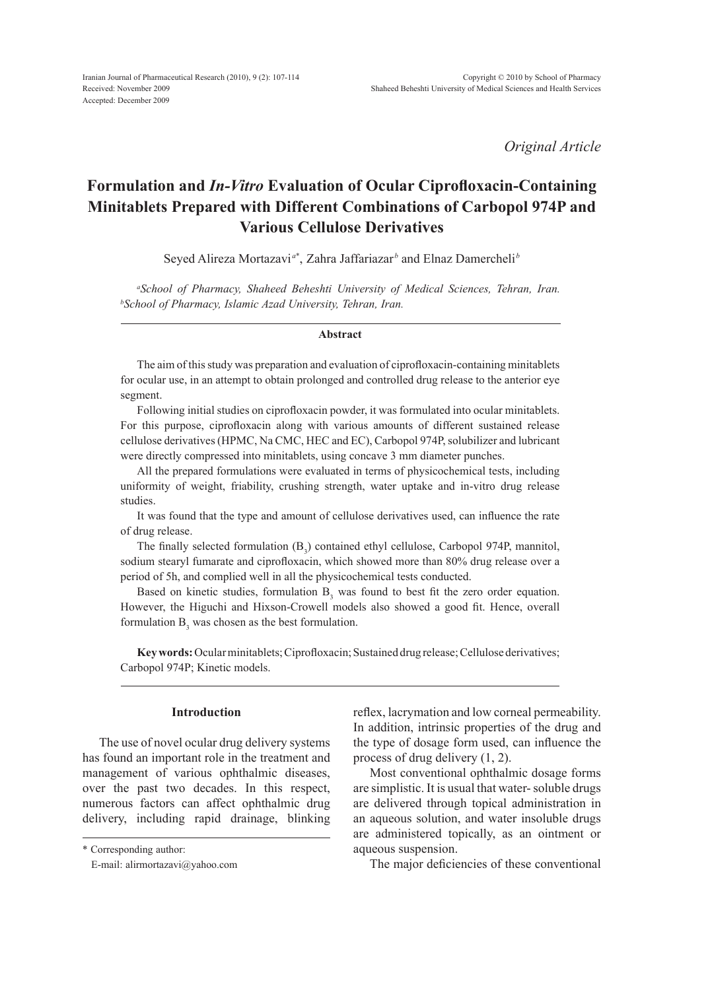*Original Article*

# **Formulation and** *In-Vitro* **Evaluation of Ocular Ciprofloxacin-Containing Minitablets Prepared with Different Combinations of Carbopol 974P and Various Cellulose Derivatives**

Seyed Alireza Mortazavi<sup>a\*</sup>, Zahra Jaffariazar<sup>*b*</sup> and Elnaz Damercheli<sup>*b*</sup>

<sup>a</sup>School of Pharmacy, Shaheed Beheshti University of Medical Sciences, Tehran, Iran.<br><sup>b</sup>School of Pharmacy Islamic Azad University Tehran Iran *School of Pharmacy, Islamic Azad University, Tehran, Iran.*

#### **Abstract**

The aim of this study was preparation and evaluation of ciprofloxacin-containing minitablets for ocular use, in an attempt to obtain prolonged and controlled drug release to the anterior eye segment.

Following initial studies on ciprofloxacin powder, it was formulated into ocular minitablets. For this purpose, ciprofloxacin along with various amounts of different sustained release cellulose derivatives (HPMC, Na CMC, HEC and EC), Carbopol 974P, solubilizer and lubricant were directly compressed into minitablets, using concave 3 mm diameter punches.

All the prepared formulations were evaluated in terms of physicochemical tests, including uniformity of weight, friability, crushing strength, water uptake and in-vitro drug release studies.

It was found that the type and amount of cellulose derivatives used, can influence the rate of drug release.

The finally selected formulation  $(B_3)$  contained ethyl cellulose, Carbopol 974P, mannitol, sodium stearyl fumarate and ciprofloxacin, which showed more than 80% drug release over a period of 5h, and complied well in all the physicochemical tests conducted.

Based on kinetic studies, formulation  $B_3$  was found to best fit the zero order equation. However, the Higuchi and Hixson-Crowell models also showed a good fit. Hence, overall formulation  $B_3$  was chosen as the best formulation.

**Key words:** Ocular minitablets; Ciprofloxacin; Sustained drug release; Cellulose derivatives; Carbopol 974P; Kinetic models.

# **Introduction**

The use of novel ocular drug delivery systems has found an important role in the treatment and management of various ophthalmic diseases, over the past two decades. In this respect, numerous factors can affect ophthalmic drug delivery, including rapid drainage, blinking

\* Corresponding author:

reflex, lacrymation and low corneal permeability. In addition, intrinsic properties of the drug and the type of dosage form used, can influence the process of drug delivery (1, 2).

Most conventional ophthalmic dosage forms are simplistic. It is usual that water- soluble drugs are delivered through topical administration in an aqueous solution, and water insoluble drugs are administered topically, as an ointment or aqueous suspension.

The major deficiencies of these conventional

E-mail: alirmortazavi@yahoo.com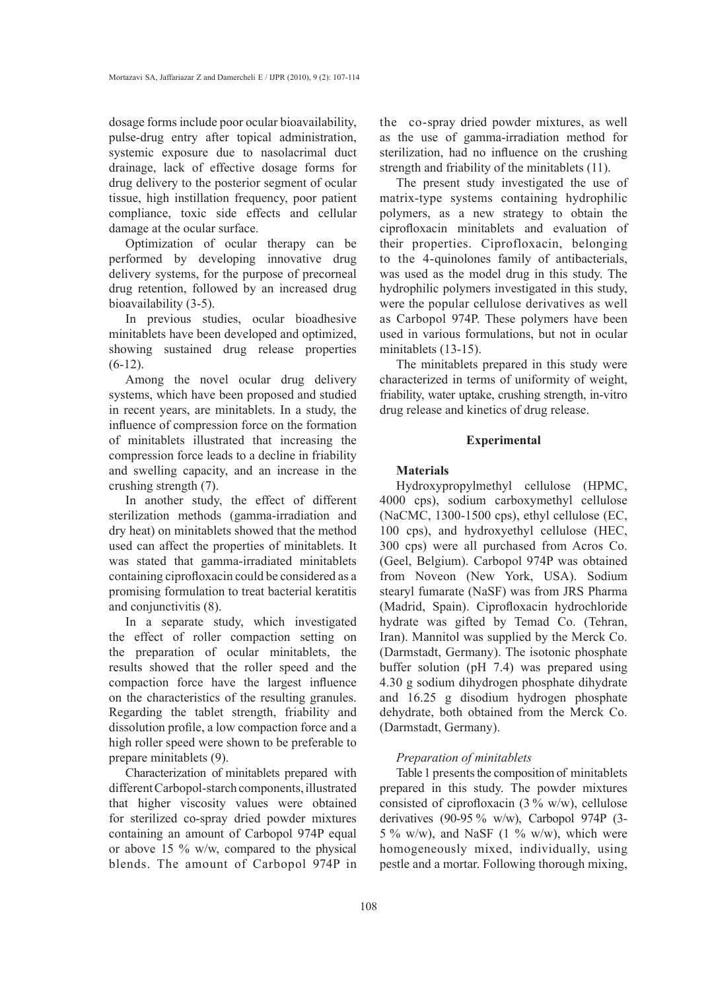dosage forms include poor ocular bioavailability, pulse-drug entry after topical administration, systemic exposure due to nasolacrimal duct drainage, lack of effective dosage forms for drug delivery to the posterior segment of ocular tissue, high instillation frequency, poor patient compliance, toxic side effects and cellular damage at the ocular surface.

Optimization of ocular therapy can be performed by developing innovative drug delivery systems, for the purpose of precorneal drug retention, followed by an increased drug bioavailability (3-5).

In previous studies, ocular bioadhesive minitablets have been developed and optimized, showing sustained drug release properties  $(6-12)$ .

Among the novel ocular drug delivery systems, which have been proposed and studied in recent years, are minitablets. In a study, the influence of compression force on the formation of minitablets illustrated that increasing the compression force leads to a decline in friability and swelling capacity, and an increase in the crushing strength (7).

In another study, the effect of different sterilization methods (gamma-irradiation and dry heat) on minitablets showed that the method used can affect the properties of minitablets. It was stated that gamma-irradiated minitablets containing ciprofloxacin could be considered as a promising formulation to treat bacterial keratitis and conjunctivitis (8).

In a separate study, which investigated the effect of roller compaction setting on the preparation of ocular minitablets, the results showed that the roller speed and the compaction force have the largest influence on the characteristics of the resulting granules. Regarding the tablet strength, friability and dissolution profile, a low compaction force and a high roller speed were shown to be preferable to prepare minitablets (9).

Characterization of minitablets prepared with different Carbopol-starch components, illustrated that higher viscosity values were obtained for sterilized co-spray dried powder mixtures containing an amount of Carbopol 974P equal or above 15 % w/w, compared to the physical blends. The amount of Carbopol 974P in the co-spray dried powder mixtures, as well as the use of gamma-irradiation method for sterilization, had no influence on the crushing strength and friability of the minitablets (11).

The present study investigated the use of matrix-type systems containing hydrophilic polymers, as a new strategy to obtain the ciprofloxacin minitablets and evaluation of their properties. Ciprofloxacin, belonging to the 4-quinolones family of antibacterials, was used as the model drug in this study. The hydrophilic polymers investigated in this study, were the popular cellulose derivatives as well as Carbopol 974P. These polymers have been used in various formulations, but not in ocular minitablets (13-15).

The minitablets prepared in this study were characterized in terms of uniformity of weight, friability, water uptake, crushing strength, in-vitro drug release and kinetics of drug release.

# **Experimental**

## **Materials**

Hydroxypropylmethyl cellulose (HPMC, 4000 cps), sodium carboxymethyl cellulose (NaCMC, 1300-1500 cps), ethyl cellulose (EC, 100 cps), and hydroxyethyl cellulose (HEC, 300 cps) were all purchased from Acros Co. (Geel, Belgium). Carbopol 974P was obtained from Noveon (New York, USA). Sodium stearyl fumarate (NaSF) was from JRS Pharma (Madrid, Spain). Ciprofloxacin hydrochloride hydrate was gifted by Temad Co. (Tehran, Iran). Mannitol was supplied by the Merck Co. (Darmstadt, Germany). The isotonic phosphate buffer solution (pH 7.4) was prepared using 4.30 g sodium dihydrogen phosphate dihydrate and 16.25 g disodium hydrogen phosphate dehydrate, both obtained from the Merck Co. (Darmstadt, Germany).

#### *Preparation of minitablets*

Table 1 presents the composition of minitablets prepared in this study. The powder mixtures consisted of ciprofloxacin  $(3\% \text{ w/w})$ , cellulose derivatives (90-95 % w/w), Carbopol 974P (3- 5 % w/w), and NaSF  $(1 \frac{9}{6} \text{ w/w})$ , which were homogeneously mixed, individually, using pestle and a mortar. Following thorough mixing,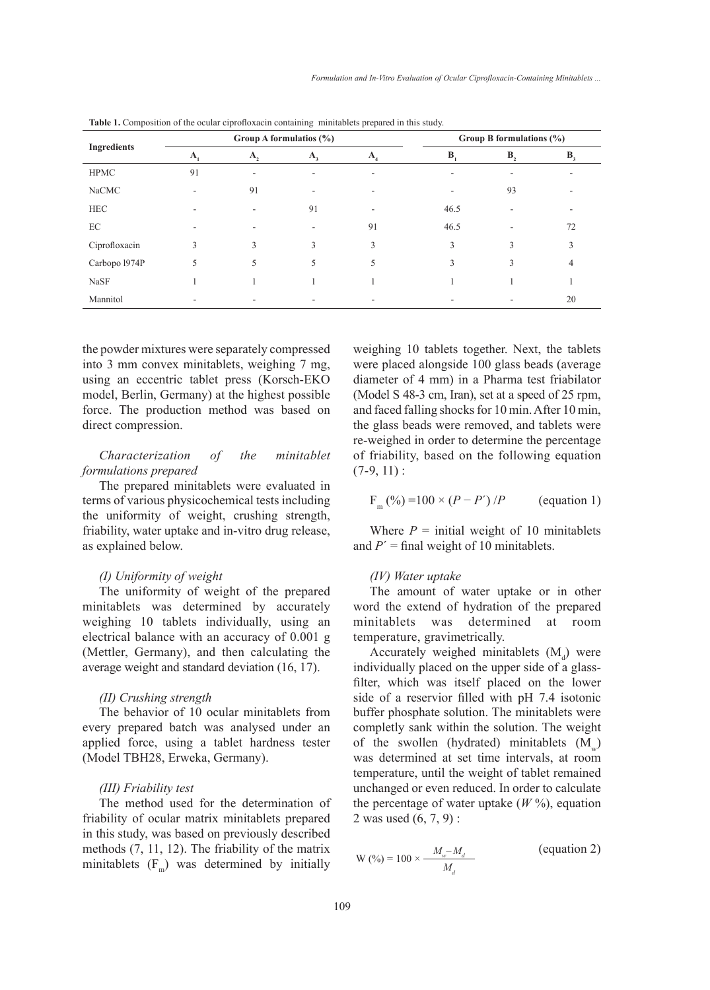| <b>Ingredients</b> | Group A formulatios (%)   |    |                           | Group B formulations $(\%)$          |                  |            |       |
|--------------------|---------------------------|----|---------------------------|--------------------------------------|------------------|------------|-------|
|                    | $\mathbf{A}_{\mathbf{a}}$ | A, | $\mathbf{A}_{\mathbf{A}}$ | $\mathbf{A}_{\scriptscriptstyle{A}}$ | $\mathbf{B}_{i}$ | <b>B</b> , | $B_3$ |
| <b>HPMC</b>        | 91                        | ٠  |                           |                                      |                  |            |       |
| NaCMC              |                           | 91 | ۰                         |                                      |                  | 93         |       |
| <b>HEC</b>         |                           |    | 91                        |                                      | 46.5             |            |       |
| EC                 |                           |    |                           | 91                                   | 46.5             |            | 72    |
| Ciprofloxacin      | 3                         | 3  | 3                         | $\mathbf{3}$                         | $\mathcal{E}$    | 3          | 3     |
| Carbopo 1974P      | 5                         | 5  | 5                         | 5                                    | $\mathcal{E}$    | 3          | 4     |
| NaSF               |                           |    |                           |                                      |                  |            |       |
| Mannitol           |                           |    |                           |                                      |                  |            | 20    |

**Table 1.** Composition of the ocular ciprofloxacin containing minitablets prepared in this study.

the powder mixtures were separately compressed into 3 mm convex minitablets, weighing 7 mg, using an eccentric tablet press (Korsch-EKO model, Berlin, Germany) at the highest possible force. The production method was based on direct compression.

# *Characterization of the minitablet formulations prepared*

The prepared minitablets were evaluated in terms of various physicochemical tests including the uniformity of weight, crushing strength, friability, water uptake and in-vitro drug release, as explained below.

## *(I) Uniformity of weight*

The uniformity of weight of the prepared minitablets was determined by accurately weighing 10 tablets individually, using an electrical balance with an accuracy of 0.001 g (Mettler, Germany), and then calculating the average weight and standard deviation (16, 17).

## *(II) Crushing strength*

The behavior of 10 ocular minitablets from every prepared batch was analysed under an applied force, using a tablet hardness tester (Model TBH28, Erweka, Germany).

# *(III) Friability test*

The method used for the determination of friability of ocular matrix minitablets prepared in this study, was based on previously described methods (7, 11, 12). The friability of the matrix minitablets  $(F_m)$  was determined by initially weighing 10 tablets together. Next, the tablets were placed alongside 100 glass beads (average diameter of 4 mm) in a Pharma test friabilator (Model S 48-3 cm, Iran), set at a speed of 25 rpm, and faced falling shocks for 10 min. After 10 min, the glass beads were removed, and tablets were re-weighed in order to determine the percentage of friability, based on the following equation  $(7-9, 11)$ :

$$
F_m(^{9}/_{0}) = 100 \times (P - P')/P
$$
 (equation 1)

Where  $P =$  initial weight of 10 minitablets and  $P'$  = final weight of 10 minitablets.

## *(IV) Water uptake*

The amount of water uptake or in other word the extend of hydration of the prepared minitablets was determined at room temperature, gravimetrically.

Accurately weighed minitablets  $(M_d)$  were individually placed on the upper side of a glassfilter, which was itself placed on the lower side of a reservior filled with pH 7.4 isotonic buffer phosphate solution. The minitablets were completly sank within the solution. The weight of the swollen (hydrated) minitablets  $(M_w)$ was determined at set time intervals, at room temperature, until the weight of tablet remained unchanged or even reduced. In order to calculate the percentage of water uptake  $(W\%)$ , equation 2 was used (6, 7, 9) :

$$
W(\%) = 100 \times \frac{M_w - M_d}{M_d}
$$
 (equation 2)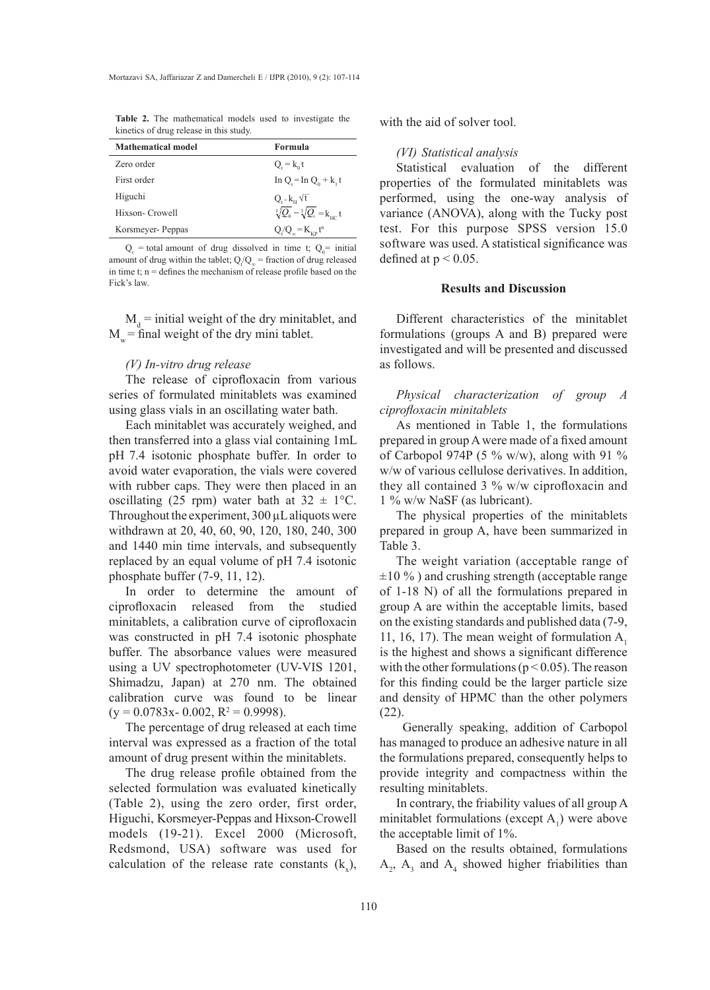**Table 2.** The mathematical models used to investigate the kinetics of drug release in this study.

| Mathematical model | Formula                                           |
|--------------------|---------------------------------------------------|
| Zero order         | $Q_{i} = k_0 t$                                   |
| First order        | In Q = In $Q_0 + k_1 t$                           |
| Higuchi            | $Q_i = k_{\rm H} \sqrt{t}$                        |
| Hixson- Crowell    | $\sqrt[3]{Q_0} - \sqrt[3]{Q_t} = k_{\text{HC}} t$ |
| Korsmeyer- Peppas  | $Q/Q_{o} = K_{VD} t^{n}$                          |

 $Q_t$  = total amount of drug dissolved in time t;  $Q_0$  = initial amount of drug within the tablet;  $Q_t/Q_\infty$  = fraction of drug released in time t;  $n =$  defines the mechanism of release profile based on the Fick's law.

 $M_d$  = initial weight of the dry minitablet, and  $M_{w}$  = final weight of the dry mini tablet.

#### *(V) In-vitro drug release*

The release of ciprofloxacin from various series of formulated minitablets was examined using glass vials in an oscillating water bath.

Each minitablet was accurately weighed, and then transferred into a glass vial containing 1mL pH 7.4 isotonic phosphate buffer. In order to avoid water evaporation, the vials were covered with rubber caps. They were then placed in an oscillating (25 rpm) water bath at  $32 \pm 1$ °C. Throughout the experiment, 300 µL aliquots were withdrawn at 20, 40, 60, 90, 120, 180, 240, 300 and 1440 min time intervals, and subsequently replaced by an equal volume of pH 7.4 isotonic phosphate buffer (7-9, 11, 12).

In order to determine the amount of ciprofloxacin released from the studied minitablets, a calibration curve of ciprofloxacin was constructed in pH 7.4 isotonic phosphate buffer. The absorbance values were measured using a UV spectrophotometer (UV-VIS 1201, Shimadzu, Japan) at 270 nm. The obtained calibration curve was found to be linear  $(y = 0.0783x - 0.002, R^2 = 0.9998).$ 

The percentage of drug released at each time interval was expressed as a fraction of the total amount of drug present within the minitablets.

The drug release profile obtained from the selected formulation was evaluated kinetically (Table 2), using the zero order, first order, Higuchi, Korsmeyer-Peppas and Hixson-Crowell models (19-21). Excel 2000 (Microsoft, Redsmond, USA) software was used for calculation of the release rate constants  $(k_x)$ , with the aid of solver tool.

#### *(VI) Statistical analysis*

Statistical evaluation of the different properties of the formulated minitablets was performed, using the one-way analysis of variance (ANOVA), along with the Tucky post test. For this purpose SPSS version 15.0 software was used. A statistical significance was defined at  $p < 0.05$ .

#### **Results and Discussion**

Different characteristics of the minitablet formulations (groups A and B) prepared were investigated and will be presented and discussed as follows.

*Physical characterization of group A ciprofloxacin minitablets*

As mentioned in Table 1, the formulations prepared in group A were made of a fixed amount of Carbopol 974P (5 % w/w), along with 91 % w/w of various cellulose derivatives. In addition, they all contained 3 % w/w ciprofloxacin and 1 % w/w NaSF (as lubricant).

The physical properties of the minitablets prepared in group A, have been summarized in Table 3.

The weight variation (acceptable range of  $\pm 10\%$ ) and crushing strength (acceptable range of 1-18 N) of all the formulations prepared in group A are within the acceptable limits, based on the existing standards and published data (7-9, 11, 16, 17). The mean weight of formulation  $A_1$ is the highest and shows a significant difference with the other formulations ( $p < 0.05$ ). The reason for this finding could be the larger particle size and density of HPMC than the other polymers (22).

 Generally speaking, addition of Carbopol has managed to produce an adhesive nature in all the formulations prepared, consequently helps to provide integrity and compactness within the resulting minitablets.

In contrary, the friability values of all group A minitablet formulations (except  $A_1$ ) were above the acceptable limit of 1%.

Based on the results obtained, formulations  $A_2$ ,  $A_3$  and  $A_4$  showed higher friabilities than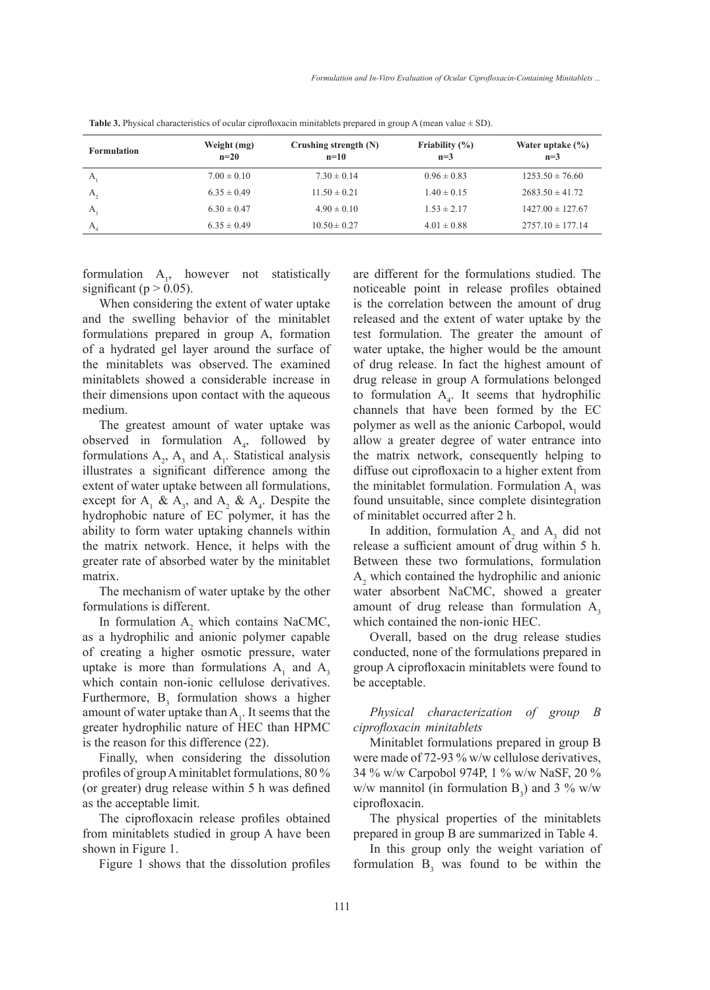| <b>Formulation</b> | Weight (mg)<br>$n=20$ | Crushing strength $(N)$<br>$n=10$ | Friability $(\% )$<br>$n=3$ | Water uptake $(\% )$<br>$n=3$ |
|--------------------|-----------------------|-----------------------------------|-----------------------------|-------------------------------|
| А                  | $7.00 \pm 0.10$       | $7.30 \pm 0.14$                   | $0.96 \pm 0.83$             | $1253.50 \pm 76.60$           |
| А,                 | $6.35 \pm 0.49$       | $11.50 \pm 0.21$                  | $1.40 \pm 0.15$             | $2683.50 \pm 41.72$           |
| А,                 | $6.30 \pm 0.47$       | $4.90 \pm 0.10$                   | $1.53 \pm 2.17$             | $1427.00 \pm 127.67$          |
| $A_{i}$            | $6.35 \pm 0.49$       | $10.50 \pm 0.27$                  | $4.01 \pm 0.88$             | $2757.10 \pm 177.14$          |

**Table 3.** Physical characteristics of ocular ciprofloxacin minitablets prepared in group A (mean value ± SD).

formulation  $A_1$ , however not statistically significant ( $p > 0.05$ ).

When considering the extent of water uptake and the swelling behavior of the minitablet formulations prepared in group A, formation of a hydrated gel layer around the surface of the minitablets was observed. The examined minitablets showed a considerable increase in their dimensions upon contact with the aqueous medium.

The greatest amount of water uptake was observed in formulation  $A_4$ , followed by formulations  $A_2$ ,  $A_3$  and  $A_1$ . Statistical analysis illustrates a significant difference among the extent of water uptake between all formulations, except for  $A_1 \& A_3$ , and  $A_2 \& A_4$ . Despite the hydrophobic nature of EC polymer, it has the ability to form water uptaking channels within the matrix network. Hence, it helps with the greater rate of absorbed water by the minitablet matrix.

The mechanism of water uptake by the other formulations is different.

In formulation  $A_2$  which contains NaCMC, as a hydrophilic and anionic polymer capable of creating a higher osmotic pressure, water uptake is more than formulations  $A_1$  and  $A_3$ which contain non-ionic cellulose derivatives. Furthermore,  $B_3$  formulation shows a higher amount of water uptake than  $A_1$ . It seems that the greater hydrophilic nature of HEC than HPMC is the reason for this difference (22).

Finally, when considering the dissolution profiles of group A minitablet formulations, 80 % (or greater) drug release within 5 h was defined as the acceptable limit.

The ciprofloxacin release profiles obtained from minitablets studied in group A have been shown in Figure 1.

Figure 1 shows that the dissolution profiles

are different for the formulations studied. The noticeable point in release profiles obtained is the correlation between the amount of drug released and the extent of water uptake by the test formulation. The greater the amount of water uptake, the higher would be the amount of drug release. In fact the highest amount of drug release in group A formulations belonged to formulation  $A_4$ . It seems that hydrophilic channels that have been formed by the EC polymer as well as the anionic Carbopol, would allow a greater degree of water entrance into the matrix network, consequently helping to diffuse out ciprofloxacin to a higher extent from the minitablet formulation. Formulation  $A_1$  was found unsuitable, since complete disintegration of minitablet occurred after 2 h.

In addition, formulation  $A_2$  and  $A_3$  did not release a sufficient amount of drug within 5 h. Between these two formulations, formulation  $A_2$  which contained the hydrophilic and anionic water absorbent NaCMC, showed a greater amount of drug release than formulation  $A_3$ which contained the non-ionic HEC.

Overall, based on the drug release studies conducted, none of the formulations prepared in group A ciprofloxacin minitablets were found to be acceptable.

# *Physical characterization of group B ciprofloxacin minitablets*

Minitablet formulations prepared in group B were made of 72-93 % w/w cellulose derivatives, 34 % w/w Carpobol 974P, 1 % w/w NaSF, 20 % w/w mannitol (in formulation  $B_3$ ) and 3 % w/w ciprofloxacin.

The physical properties of the minitablets prepared in group B are summarized in Table 4.

In this group only the weight variation of formulation  $B_3$  was found to be within the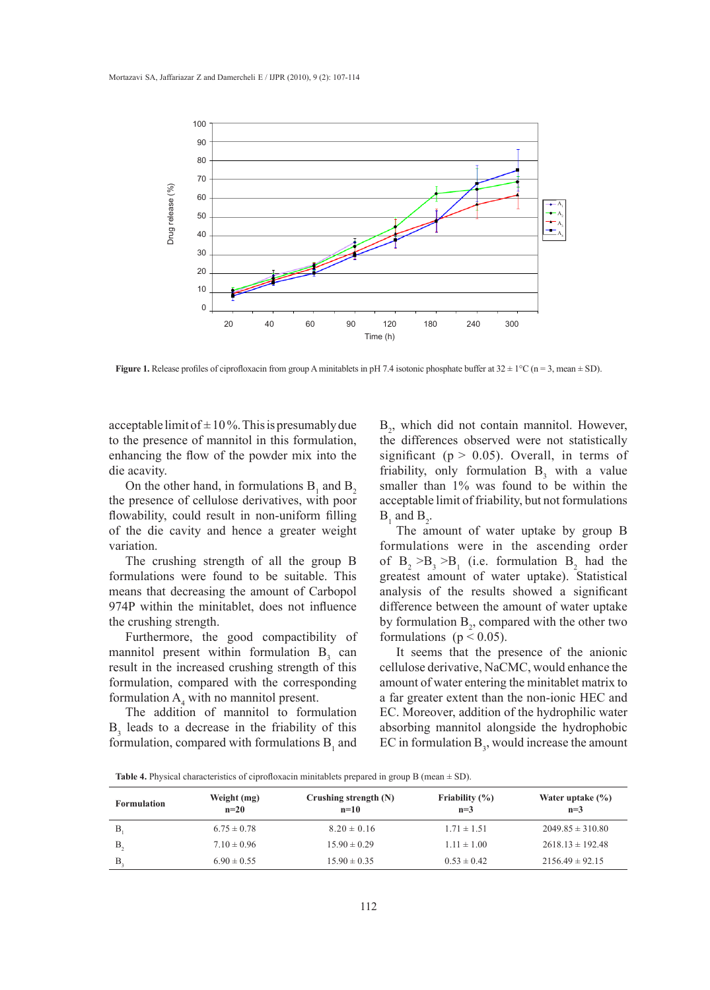

**Figure 1.** Release profiles of ciprofloxacin from group A minitablets in pH 7.4 isotonic phosphate buffer at  $32 \pm 1^{\circ}$ C (n = 3, mean  $\pm$  SD).

acceptable limit of  $\pm 10\%$ . This is presumably due to the presence of mannitol in this formulation, enhancing the flow of the powder mix into the die acavity.

On the other hand, in formulations  $B_1$  and  $B_2$ the presence of cellulose derivatives, with poor flowability, could result in non-uniform filling  $B_1$  and  $B_2$ . of the die cavity and hence a greater weight variation.

The crushing strength of all the group B formulations were found to be suitable. This means that decreasing the amount of Carbopol 974P within the minitablet, does not influence the crushing strength.

Furthermore, the good compactibility of mannitol present within formulation  $B_3$  can is the economic the anionic contractors of the anionic mannitol present within formulation  $B_3$  can is the seems that the presence of the anion result in the increased crushing strength of this formulation, compared with the corresponding formulation  $A_4$  with no mannitol present.

The addition of mannitol to formulation  $B_3$  leads to a decrease in the friability of this formulation, compared with formulations  $B_1$  and

eptable limit of  $\pm$  10%. This is presumably due  $B_2$ , which did not contain mannitol. However, the differences observed were not statistically ancing the flow of the powder mix into the significant  $(p > 0.05)$ . Overall, in terms of friability, only formulation  $B_3$  with a value On the other hand, in formulations  $B_1$  and  $B_2$  smaller than 1% was found to be within the acceptable limit of friability, but not formulations  $B_1$  and  $B_2$ .

The amount of water uptake by group B  $\frac{1}{2}$  formulations were in the ascending order  $\frac{1}{2}$ . of  $B_2 > B_3 > B_1$  (i.e. formulation  $B_2$  had the mulations were found to be suitable. This greatest amount of water uptake). Statistical mulations were that decreasing the amount of Corboral conclusion of the results channel a cionificant analysis of the results showed a significant difference between the amount of water uptake  $\mathbf{b}$  by formulation  $\mathbf{B}_2$ , compared with the other two formulation  $\mathbf{B}_2$ , compared with the other two formulations ( $p < 0.05$ ).

It seems that the presence of the anionic cellulose derivative, NaCMC, would enhance the and the minitable crushing steeled of any conducted critical contracts, would emailed the minitable matrix to mulation, compared with the corresponding amount of water entering the minitablet matrix to a far greater extent than the non-ionic HEC and The addition of mannitol to formulation  $EC$ . Moreover, addition of the hydrophilic water absorbing mannitol alongside the hydrophobic mulation, compared with formulations  $B_1$  and  $\quad$  EC in formulation  $B_3$ , would increase the amount

Table 4. Physical characteristics of ciprofloxacin minitablets prepared in group B (mean  $\pm$  SD).

| <b>Formulation</b> | Weight (mg)<br>$n=20$ | Crushing strength (N)<br>$n=10$ | Friability $(\% )$<br>$n=3$ | Water uptake $(\% )$<br>$n=3$ |
|--------------------|-----------------------|---------------------------------|-----------------------------|-------------------------------|
| B.                 | $6.75 \pm 0.78$       | $8.20 \pm 0.16$                 | $1.71 \pm 1.51$             | $2049.85 \pm 310.80$          |
| <b>B</b> ,         | $7.10 \pm 0.96$       | $15.90 \pm 0.29$                | $1.11 \pm 1.00$             | $2618.13 \pm 192.48$          |
| B                  | $6.90 \pm 0.55$       | $15.90 \pm 0.35$                | $0.53 \pm 0.42$             | $2156.49 \pm 92.15$           |
|                    |                       |                                 |                             |                               |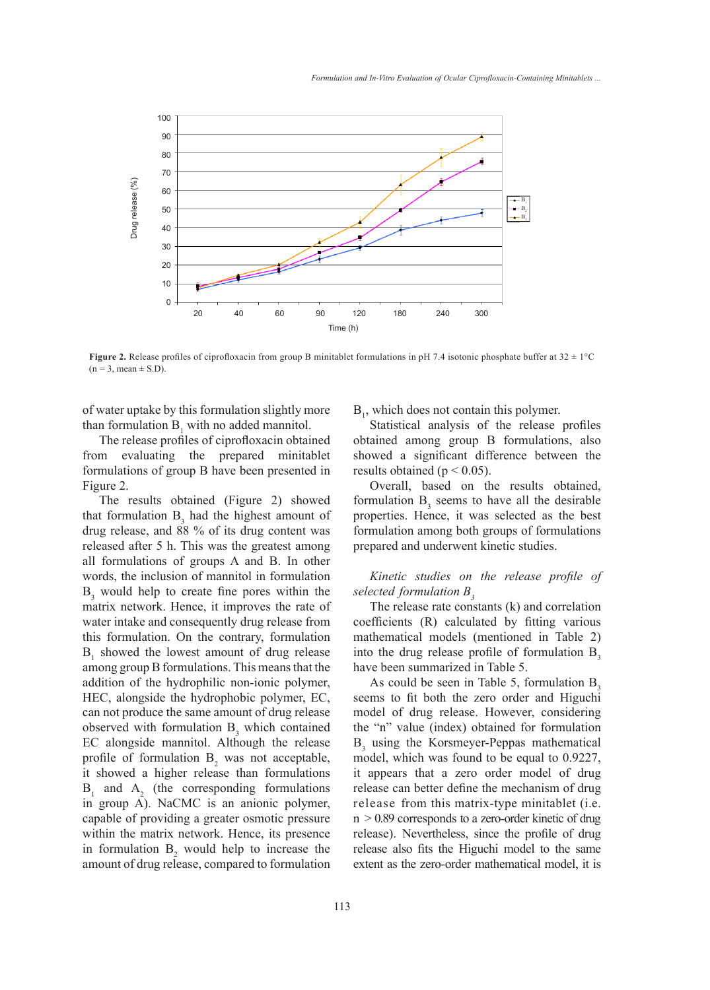

**Figure 2.** Release profiles of ciprofloxacin from group B minitablet formulations in pH 7.4 isotonic phosphate buffer at  $32 \pm 1^{\circ}$ C  $(n = 3, mean \pm S.D)$ . promes or cipronoxacin from group **B** immitablet formulations in pri 7.4 isotome phospha<br>
)

of water uptake by this formulation slightly more than formulation  $B_1$  with no added mannitol. Statistical analysis of the release pro

The release profiles of ciprofloxacin obtained from evaluating the prepared minitablet showed a significant difference between formulations of group B have been presented in Figure 2.

The results obtained (Figure 2) showed that formulation  $B_3$  had the highest amount of properties. Hence, it was selected as the drug release and  $22.9$  of its drug entant wester formulation among hath groups of formulation drug release, and 88 % of its drug content was released after 5 h. This was the greatest among prepared and underwent kinetic studies.<br>all formulations of groups A and B. In other all formulations of groups A and B. In other words, the inclusion of mannitol in formulation words, the inclusion of maniform formulation  $B_3$  would help to create fine pores within the *selected formulation*  $B_3$ matrix network. Hence, it improves the rate of water intake and consequently drug release from this formulation. On the contrary, formulation  $B_1$  showed the lowest amount of drug release among group B formulations. This means that the addition of the hydrophilic non-ionic polymer, As could be seen in Table 5, formulation HEC, alongside the hydrophobic polymer, EC, can not produce the same amount of drug release model of drug release. However, conside observed with formulation  $B_3$  which contained EC alongside mannitol. Although the release profile of formulation  $B_2$  was not acceptable, it showed a higher release than formulations  $B_1$  and  $A_2$  (the corresponding formulations in group A). NaCMC is an anionic polymer, capable of providing a greater osmotic pressure within the matrix network. Hence, its presence in formulation  $B_2$  would help to increase the amount of drug release, compared to formulation

 $B<sub>1</sub>$ , which does not contain this polymer.

Statistical analysis of the release profiles obtained among group B formulations, also showed a significant difference between the results obtained ( $p < 0.05$ ).

gure 2. Coverall, based on the results obtained, formulation  $B_3$  seems to have all the desirable properties. Hence, it was selected as the best formulation among both groups of formulations prepared and underwent kinetic studies.

> *Kinetic studies on the release profile of selected formulation B<sub>3</sub>*

The release rate constants (k) and correlation ating herwork. Hence, it improves the rate of the release rate constants (k) and correlation ater intake and consequently drug release from coefficients (R) calculated by fitting various mathematical models (mentioned in Table 2) into the drug release profile of formulation  $B_3$ have been summarized in Table 5.

As could be seen in Table 5, formulation  $B<sub>2</sub>$ seems to fit both the zero order and Higuchi model of drug release. However, considering the "n" value (index) obtained for formulation C alongside mannitol. Although the release  $B_3$  using the Korsmeyer-Peppas mathematical model, which was found to be equal to 0.9227, it appears that a zero order model of drug release can better define the mechanism of drug release from this matrix-type minitablet (i.e.  $n > 0.89$  corresponds to a zero-order kinetic of drug release). Nevertheless, since the profile of drug release also fits the Higuchi model to the same extent as the zero-order mathematical model, it is